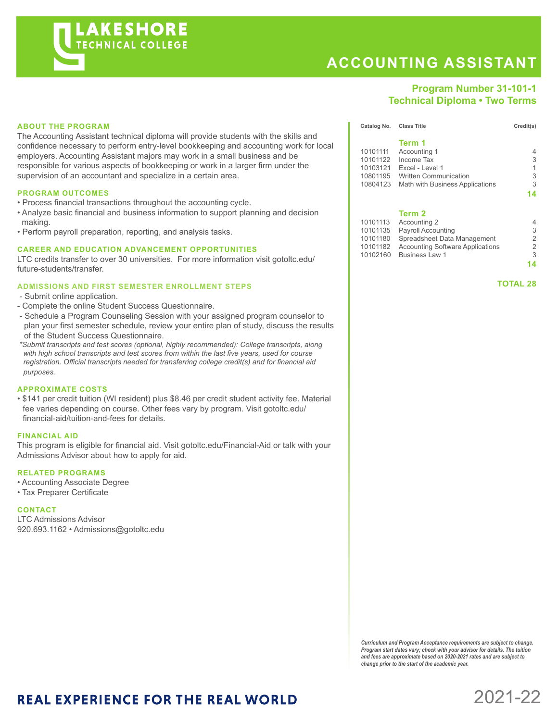

# **ACCOUNTING ASSISTANT**

## **Program Number 31-101-1 Technical Diploma • Two Terms**

### **ABOUT THE PROGRAM**

The Accounting Assistant technical diploma will provide students with the skills and confidence necessary to perform entry-level bookkeeping and accounting work for local employers. Accounting Assistant majors may work in a small business and be responsible for various aspects of bookkeeping or work in a larger firm under the supervision of an accountant and specialize in a certain area.

#### **PROGRAM OUTCOMES**

- Process financial transactions throughout the accounting cycle.
- Analyze basic financial and business information to support planning and decision making.
- Perform payroll preparation, reporting, and analysis tasks.

#### **CAREER AND EDUCATION ADVANCEMENT OPPORTUNITIES**

LTC credits transfer to over 30 universities. For more information visit gotoltc.edu/ future-students/transfer.

#### **ADMISSIONS AND FIRST SEMESTER ENROLLMENT STEPS**

- Submit online application.
- Complete the online Student Success Questionnaire.
- Schedule a Program Counseling Session with your assigned program counselor to plan your first semester schedule, review your entire plan of study, discuss the results of the Student Success Questionnaire.
- *\*Submit transcripts and test scores (optional, highly recommended): College transcripts, along with high school transcripts and test scores from within the last five years, used for course registration. Official transcripts needed for transferring college credit(s) and for financial aid purposes.*

#### **APPROXIMATE COSTS**

• \$141 per credit tuition (WI resident) plus \$8.46 per credit student activity fee. Material fee varies depending on course. Other fees vary by program. Visit gotoltc.edu/ financial-aid/tuition-and-fees for details.

#### **FINANCIAL AID**

This program is eligible for financial aid. Visit gotoltc.edu/Financial-Aid or talk with your Admissions Advisor about how to apply for aid.

#### **RELATED PROGRAMS**

- Accounting Associate Degree
- Tax Preparer Certificate

#### **CONTACT**

LTC Admissions Advisor 920.693.1162 • Admissions@gotoltc.edu

|            | Term 1                                   |    |
|------------|------------------------------------------|----|
| 10101111   | Accounting 1                             | 4  |
| 10101122   | Income Tax                               | 3  |
| 10103121   | Excel - Level 1                          | 1  |
| 10801195   | <b>Written Communication</b>             | 3  |
|            | 10804123 Math with Business Applications | 3  |
|            |                                          | 14 |
|            | Term 2                                   |    |
| $10101110$ | $A$ conunting $\Omega$                   |    |

**Catalog No. Class Title Credit(s)** Credit(s)

| 10101135 Payroll Accounting               | 3                     |
|-------------------------------------------|-----------------------|
| 10101180 Spreadsheet Data Management      | 2                     |
| 10101182 Accounting Software Applications | 2                     |
| 10102160 Business Law 1                   | 3                     |
|                                           | 14                    |
|                                           | 10101113 Accounting 2 |

 **TOTAL 28**

*Curriculum and Program Acceptance requirements are subject to change. Program start dates vary; check with your advisor for details. The tuition and fees are approximate based on 2020-2021 rates and are subject to change prior to the start of the academic year.* 

# **REAL EXPERIENCE FOR THE REAL WORLD**